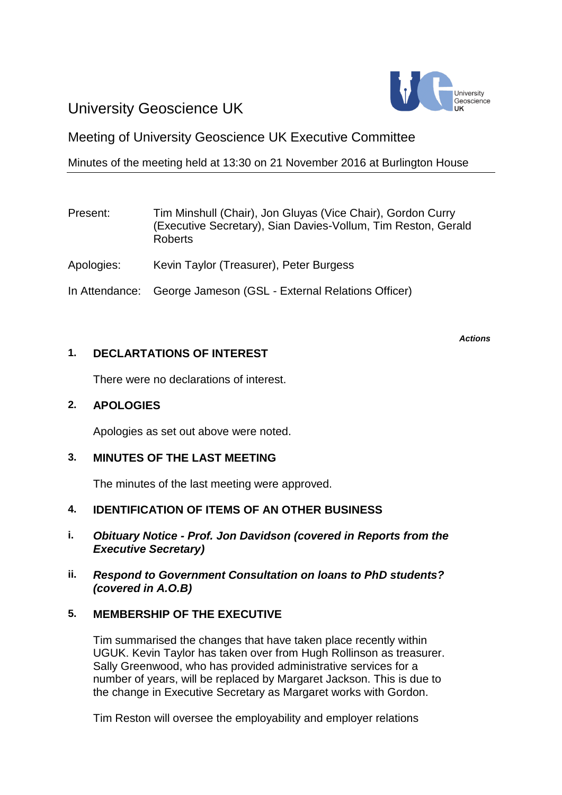# University Geoscience UK



Meeting of University Geoscience UK Executive Committee

Minutes of the meeting held at 13:30 on 21 November 2016 at Burlington House

# Present: Tim Minshull (Chair), Jon Gluyas (Vice Chair), Gordon Curry (Executive Secretary), Sian Davies-Vollum, Tim Reston, Gerald Roberts Apologies: Kevin Taylor (Treasurer), Peter Burgess In Attendance: George Jameson (GSL - External Relations Officer)

## **1. DECLARTATIONS OF INTEREST**

There were no declarations of interest.

## **2. APOLOGIES**

Apologies as set out above were noted.

## **3. MINUTES OF THE LAST MEETING**

The minutes of the last meeting were approved.

## **4. IDENTIFICATION OF ITEMS OF AN OTHER BUSINESS**

- **i.** *Obituary Notice - Prof. Jon Davidson (covered in Reports from the Executive Secretary)*
- **ii.** *Respond to Government Consultation on loans to PhD students? (covered in A.O.B)*

## **5. MEMBERSHIP OF THE EXECUTIVE**

Tim summarised the changes that have taken place recently within UGUK. Kevin Taylor has taken over from Hugh Rollinson as treasurer. Sally Greenwood, who has provided administrative services for a number of years, will be replaced by Margaret Jackson. This is due to the change in Executive Secretary as Margaret works with Gordon.

Tim Reston will oversee the employability and employer relations

*Actions*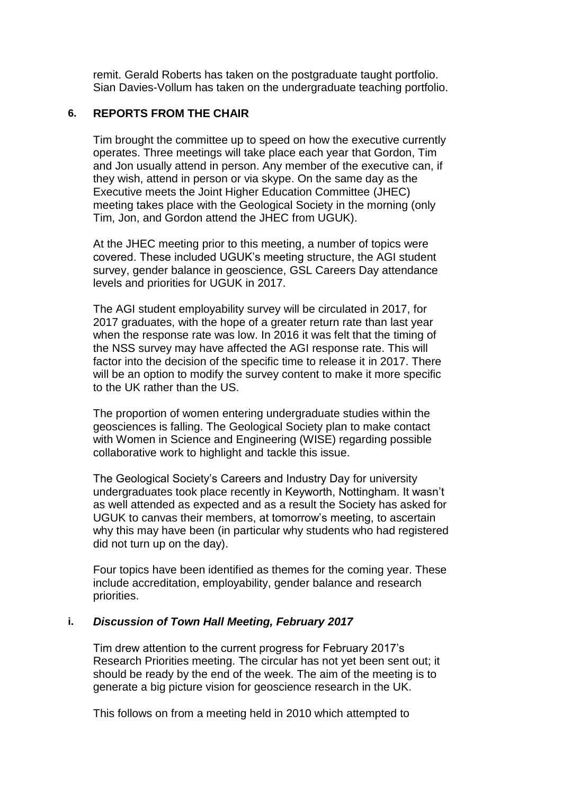remit. Gerald Roberts has taken on the postgraduate taught portfolio. Sian Davies-Vollum has taken on the undergraduate teaching portfolio.

#### **6. REPORTS FROM THE CHAIR**

Tim brought the committee up to speed on how the executive currently operates. Three meetings will take place each year that Gordon, Tim and Jon usually attend in person. Any member of the executive can, if they wish, attend in person or via skype. On the same day as the Executive meets the Joint Higher Education Committee (JHEC) meeting takes place with the Geological Society in the morning (only Tim, Jon, and Gordon attend the JHEC from UGUK).

At the JHEC meeting prior to this meeting, a number of topics were covered. These included UGUK's meeting structure, the AGI student survey, gender balance in geoscience, GSL Careers Day attendance levels and priorities for UGUK in 2017.

The AGI student employability survey will be circulated in 2017, for 2017 graduates, with the hope of a greater return rate than last year when the response rate was low. In 2016 it was felt that the timing of the NSS survey may have affected the AGI response rate. This will factor into the decision of the specific time to release it in 2017. There will be an option to modify the survey content to make it more specific to the UK rather than the US.

The proportion of women entering undergraduate studies within the geosciences is falling. The Geological Society plan to make contact with Women in Science and Engineering (WISE) regarding possible collaborative work to highlight and tackle this issue.

The Geological Society's Careers and Industry Day for university undergraduates took place recently in Keyworth, Nottingham. It wasn't as well attended as expected and as a result the Society has asked for UGUK to canvas their members, at tomorrow's meeting, to ascertain why this may have been (in particular why students who had registered did not turn up on the day).

Four topics have been identified as themes for the coming year. These include accreditation, employability, gender balance and research priorities.

#### **i.** *Discussion of Town Hall Meeting, February 2017*

Tim drew attention to the current progress for February 2017's Research Priorities meeting. The circular has not yet been sent out; it should be ready by the end of the week. The aim of the meeting is to generate a big picture vision for geoscience research in the UK.

This follows on from a meeting held in 2010 which attempted to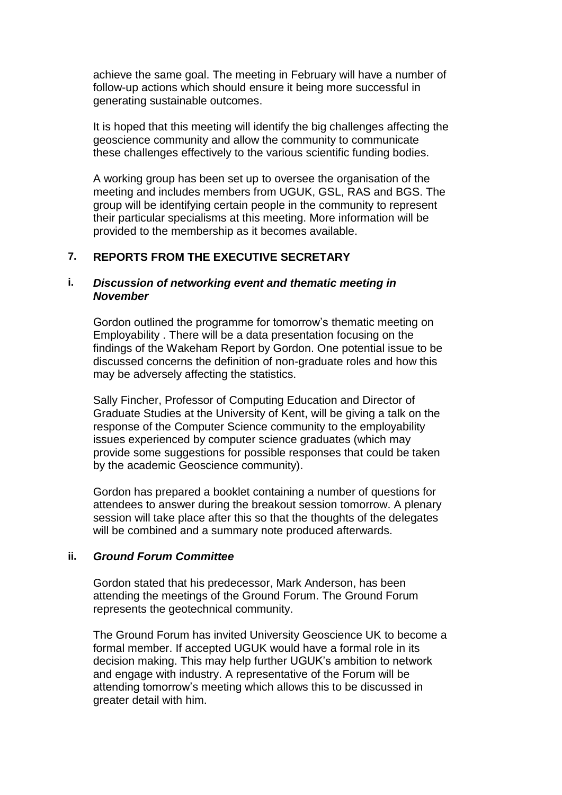achieve the same goal. The meeting in February will have a number of follow-up actions which should ensure it being more successful in generating sustainable outcomes.

It is hoped that this meeting will identify the big challenges affecting the geoscience community and allow the community to communicate these challenges effectively to the various scientific funding bodies.

A working group has been set up to oversee the organisation of the meeting and includes members from UGUK, GSL, RAS and BGS. The group will be identifying certain people in the community to represent their particular specialisms at this meeting. More information will be provided to the membership as it becomes available.

#### **7. REPORTS FROM THE EXECUTIVE SECRETARY**

#### **i.** *Discussion of networking event and thematic meeting in November*

Gordon outlined the programme for tomorrow's thematic meeting on Employability . There will be a data presentation focusing on the findings of the Wakeham Report by Gordon. One potential issue to be discussed concerns the definition of non-graduate roles and how this may be adversely affecting the statistics.

Sally Fincher, Professor of Computing Education and Director of Graduate Studies at the University of Kent, will be giving a talk on the response of the Computer Science community to the employability issues experienced by computer science graduates (which may provide some suggestions for possible responses that could be taken by the academic Geoscience community).

Gordon has prepared a booklet containing a number of questions for attendees to answer during the breakout session tomorrow. A plenary session will take place after this so that the thoughts of the delegates will be combined and a summary note produced afterwards.

#### **ii.** *Ground Forum Committee*

Gordon stated that his predecessor, Mark Anderson, has been attending the meetings of the Ground Forum. The Ground Forum represents the geotechnical community.

The Ground Forum has invited University Geoscience UK to become a formal member. If accepted UGUK would have a formal role in its decision making. This may help further UGUK's ambition to network and engage with industry. A representative of the Forum will be attending tomorrow's meeting which allows this to be discussed in greater detail with him.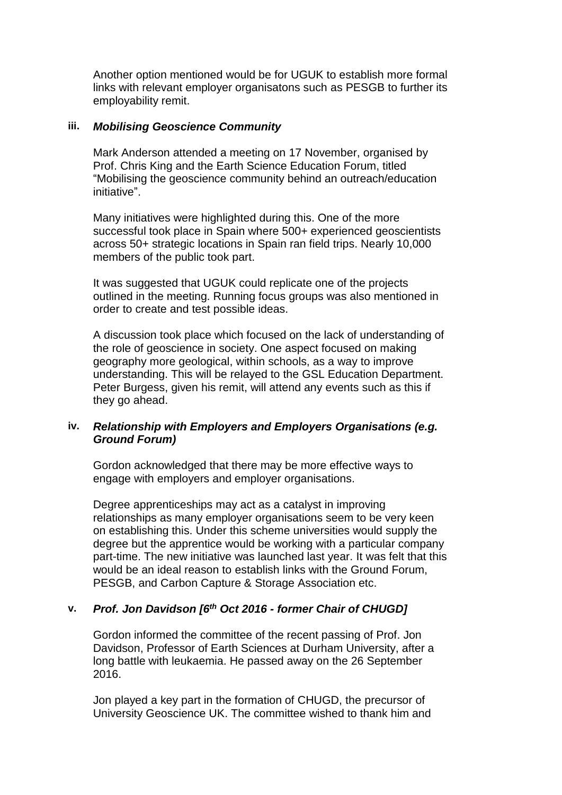Another option mentioned would be for UGUK to establish more formal links with relevant employer organisatons such as PESGB to further its employability remit.

#### **iii.** *Mobilising Geoscience Community*

Mark Anderson attended a meeting on 17 November, organised by Prof. Chris King and the Earth Science Education Forum, titled "Mobilising the geoscience community behind an outreach/education initiative".

Many initiatives were highlighted during this. One of the more successful took place in Spain where 500+ experienced geoscientists across 50+ strategic locations in Spain ran field trips. Nearly 10,000 members of the public took part.

It was suggested that UGUK could replicate one of the projects outlined in the meeting. Running focus groups was also mentioned in order to create and test possible ideas.

A discussion took place which focused on the lack of understanding of the role of geoscience in society. One aspect focused on making geography more geological, within schools, as a way to improve understanding. This will be relayed to the GSL Education Department. Peter Burgess, given his remit, will attend any events such as this if they go ahead.

#### **iv.** *Relationship with Employers and Employers Organisations (e.g. Ground Forum)*

Gordon acknowledged that there may be more effective ways to engage with employers and employer organisations.

Degree apprenticeships may act as a catalyst in improving relationships as many employer organisations seem to be very keen on establishing this. Under this scheme universities would supply the degree but the apprentice would be working with a particular company part-time. The new initiative was launched last year. It was felt that this would be an ideal reason to establish links with the Ground Forum, PESGB, and Carbon Capture & Storage Association etc.

#### **v.** *Prof. Jon Davidson [6th Oct 2016 - former Chair of CHUGD]*

Gordon informed the committee of the recent passing of Prof. Jon Davidson, Professor of Earth Sciences at Durham University, after a long battle with leukaemia. He passed away on the 26 September 2016.

Jon played a key part in the formation of CHUGD, the precursor of University Geoscience UK. The committee wished to thank him and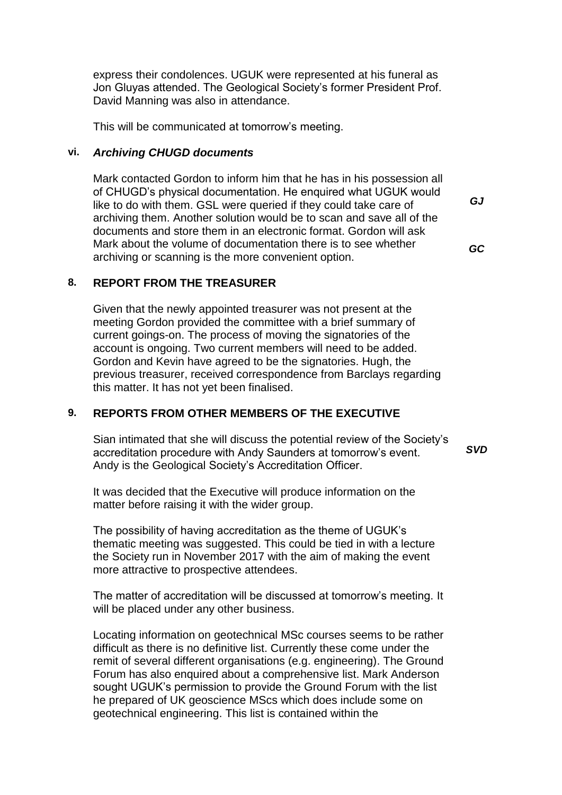express their condolences. UGUK were represented at his funeral as Jon Gluyas attended. The Geological Society's former President Prof. David Manning was also in attendance.

This will be communicated at tomorrow's meeting.

#### **vi.** *Archiving CHUGD documents*

Mark contacted Gordon to inform him that he has in his possession all of CHUGD's physical documentation. He enquired what UGUK would like to do with them. GSL were queried if they could take care of archiving them. Another solution would be to scan and save all of the documents and store them in an electronic format. Gordon will ask Mark about the volume of documentation there is to see whether archiving or scanning is the more convenient option.

*GJ*

*GC*

### **8. REPORT FROM THE TREASURER**

Given that the newly appointed treasurer was not present at the meeting Gordon provided the committee with a brief summary of current goings-on. The process of moving the signatories of the account is ongoing. Two current members will need to be added. Gordon and Kevin have agreed to be the signatories. Hugh, the previous treasurer, received correspondence from Barclays regarding this matter. It has not yet been finalised.

#### **9. REPORTS FROM OTHER MEMBERS OF THE EXECUTIVE**

Sian intimated that she will discuss the potential review of the Society's accreditation procedure with Andy Saunders at tomorrow's event. Andy is the Geological Society's Accreditation Officer. *SVD*

It was decided that the Executive will produce information on the matter before raising it with the wider group.

The possibility of having accreditation as the theme of UGUK's thematic meeting was suggested. This could be tied in with a lecture the Society run in November 2017 with the aim of making the event more attractive to prospective attendees.

The matter of accreditation will be discussed at tomorrow's meeting. It will be placed under any other business.

Locating information on geotechnical MSc courses seems to be rather difficult as there is no definitive list. Currently these come under the remit of several different organisations (e.g. engineering). The Ground Forum has also enquired about a comprehensive list. Mark Anderson sought UGUK's permission to provide the Ground Forum with the list he prepared of UK geoscience MScs which does include some on geotechnical engineering. This list is contained within the